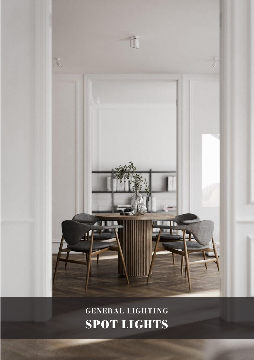

GENERAL LIGHTING SPOT LIGHTS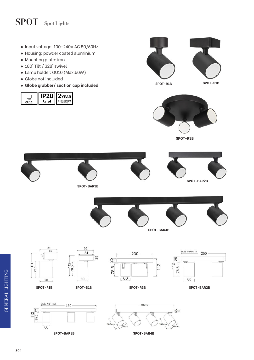## SPOT Spot Lights

- Input voltage: 100-240V AC 50/60Hz
- Housing: powder coated aluminium
- Mounting plate: iron
- 180° Tilt / 328° swivel
- Lamp holder: GU10 (Max.50W)
- Globe not included
- **Globe grabber/ suction cap included SPOT-R1B SPOT-S1B**

|    | - 2                           |
|----|-------------------------------|
| o٥ | eplacement<br><b>Warranty</b> |





**SPOT-R3B**















 $-112$ 

 $112$ 





92

81

60

25